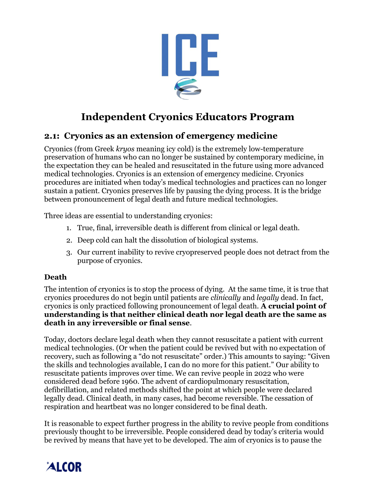

# **Independent Cryonics Educators Program**

# **2.1: Cryonics as an extension of emergency medicine**

Cryonics (from Greek *kryos* meaning icy cold) is the extremely low-temperature preservation of humans who can no longer be sustained by contemporary medicine, in the expectation they can be healed and resuscitated in the future using more advanced medical technologies. Cryonics is an extension of emergency medicine. Cryonics procedures are initiated when today's medical technologies and practices can no longer sustain a patient. Cryonics preserves life by pausing the dying process. It is the bridge between pronouncement of legal death and future medical technologies.

Three ideas are essential to understanding cryonics:

- 1. True, final, irreversible death is different from clinical or legal death.
- 2. Deep cold can halt the dissolution of biological systems.
- 3. Our current inability to revive cryopreserved people does not detract from the purpose of cryonics.

#### **Death**

The intention of cryonics is to stop the process of dying. At the same time, it is true that cryonics procedures do not begin until patients are *clinically* and *legally* dead. In fact, cryonics is only practiced following pronouncement of legal death. **A crucial point of understanding is that neither clinical death nor legal death are the same as death in any irreversible or final sense**.

Today, doctors declare legal death when they cannot resuscitate a patient with current medical technologies. (Or when the patient could be revived but with no expectation of recovery, such as following a "do not resuscitate" order.) This amounts to saying: "Given the skills and technologies available, I can do no more for this patient." Our ability to resuscitate patients improves over time. We can revive people in 2022 who were considered dead before 1960. The advent of cardiopulmonary resuscitation, defibrillation, and related methods shifted the point at which people were declared legally dead. Clinical death, in many cases, had become reversible. The cessation of respiration and heartbeat was no longer considered to be final death.

It is reasonable to expect further progress in the ability to revive people from conditions previously thought to be irreversible. People considered dead by today's criteria would be revived by means that have yet to be developed. The aim of cryonics is to pause the

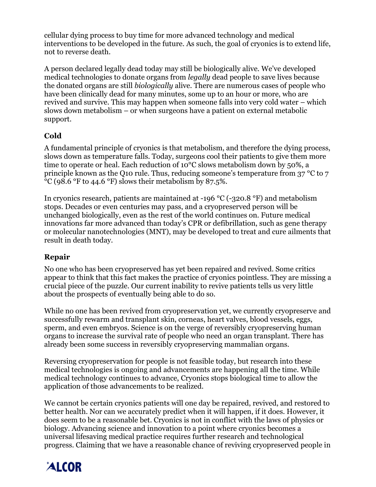cellular dying process to buy time for more advanced technology and medical interventions to be developed in the future. As such, the goal of cryonics is to extend life, not to reverse death.

A person declared legally dead today may still be biologically alive. We've developed medical technologies to donate organs from *legally* dead people to save lives because the donated organs are still *biologically* alive. There are numerous cases of people who have been clinically dead for many minutes, some up to an hour or more, who are revived and survive. This may happen when someone falls into very cold water – which slows down metabolism – or when surgeons have a patient on external metabolic support.

## **Cold**

A fundamental principle of cryonics is that metabolism, and therefore the dying process, slows down as temperature falls. Today, surgeons cool their patients to give them more time to operate or heal. Each reduction of 10°C slows metabolism down by 50%, a principle known as the Q10 rule. Thus, reducing someone's temperature from 37 °C to 7 °C (98.6 °F to 44.6 °F) slows their metabolism by 87.5%.

In cryonics research, patients are maintained at -196 °C (-320.8 °F) and metabolism stops. Decades or even centuries may pass, and a cryopreserved person will be unchanged biologically, even as the rest of the world continues on. Future medical innovations far more advanced than today's CPR or defibrillation, such as gene therapy or molecular nanotechnologies (MNT), may be developed to treat and cure ailments that result in death today.

## **Repair**

No one who has been cryopreserved has yet been repaired and revived. Some critics appear to think that this fact makes the practice of cryonics pointless. They are missing a crucial piece of the puzzle. Our current inability to revive patients tells us very little about the prospects of eventually being able to do so.

While no one has been revived from cryopreservation yet, we currently cryopreserve and successfully rewarm and transplant skin, corneas, heart valves, blood vessels, eggs, sperm, and even embryos. Science is on the verge of reversibly cryopreserving human organs to increase the survival rate of people who need an organ transplant. There has already been some success in reversibly cryopreserving mammalian organs.

Reversing cryopreservation for people is not feasible today, but research into these medical technologies is ongoing and advancements are happening all the time. While medical technology continues to advance, Cryonics stops biological time to allow the application of those advancements to be realized.

We cannot be certain cryonics patients will one day be repaired, revived, and restored to better health. Nor can we accurately predict when it will happen, if it does. However, it does seem to be a reasonable bet. Cryonics is not in conflict with the laws of physics or biology. Advancing science and innovation to a point where cryonics becomes a universal lifesaving medical practice requires further research and technological progress. Claiming that we have a reasonable chance of reviving cryopreserved people in

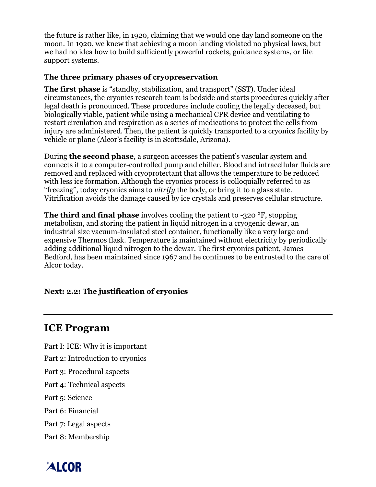the future is rather like, in 1920, claiming that we would one day land someone on the moon. In 1920, we knew that achieving a moon landing violated no physical laws, but we had no idea how to build sufficiently powerful rockets, guidance systems, or life support systems.

### **The three primary phases of cryopreservation**

**The first phase** is "standby, stabilization, and transport" (SST). Under ideal circumstances, the cryonics research team is bedside and starts procedures quickly after legal death is pronounced. These procedures include cooling the legally deceased, but biologically viable, patient while using a mechanical CPR device and ventilating to restart circulation and respiration as a series of medications to protect the cells from injury are administered. Then, the patient is quickly transported to a cryonics facility by vehicle or plane (Alcor's facility is in Scottsdale, Arizona).

During **the second phase**, a surgeon accesses the patient's vascular system and connects it to a computer-controlled pump and chiller. Blood and intracellular fluids are removed and replaced with cryoprotectant that allows the temperature to be reduced with less ice formation. Although the cryonics process is colloquially referred to as "freezing", today cryonics aims to *vitrify* the body, or bring it to a glass state. Vitrification avoids the damage caused by ice crystals and preserves cellular structure.

**The third and final phase** involves cooling the patient to -320 °F, stopping metabolism, and storing the patient in liquid nitrogen in a cryogenic dewar, an industrial size vacuum-insulated steel container, functionally like a very large and expensive Thermos flask. Temperature is maintained without electricity by periodically adding additional liquid nitrogen to the dewar. The first cryonics patient, James Bedford, has been maintained since 1967 and he continues to be entrusted to the care of Alcor today.

#### **Next: 2.2: The justification of cryonics**

# **ICE Program**

Part I: ICE: Why it is important Part 2: Introduction to cryonics

- Part 3: Procedural aspects
- Part 4: Technical aspects
- Part 5: Science
- Part 6: Financial
- Part 7: Legal aspects
- Part 8: Membership